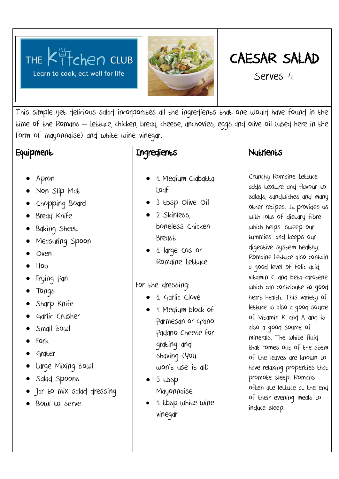



# CAESAR SALAD

Serves 4

This simple yet delicious salad incorporates all the ingredients that one would have found in the time of the Romans – Lettuce, chicken, bread, cheese, anchovies, eggs and olive oil (used here in the form of mayonnaise) and white wine vinegar.

## **Equipment**

**Ingredients** 

- Apron
- Non Slip Mat
- Chopping Board
- Bread Knife
- Baking Sheet
- Measuring Spoon
- Oven
- Hob
- Frying Pan
- Tongs
- Sharp Knife
- Garlic Crusher
- Small Bowl
- Fork
- Grater
- Large Mixing Bowl
- Salad Spoons
- Jar to mix salad dressing
- Bowl to serve

- 1 Medium Ciabatta Loaf
- 3 tbsp Olive Oil
- 2 Skinless, boneless Chicken Breast
- 1 large cos or Romaine Lettuce

#### For the dressing:

- 1 Garlic Clove
- 1 Medium block of Parmesan or Grano Padano Cheese for grating and shaving (You won't use it all)
- $-5$  tbsp Mayonnaise
- $-1$  tbsp white wine vinegar

### **Nutrients**

Crunchy Romaine Lettuce adds texture and flavour to salads, sandwiches and many other recipes. It provides us with lots of dietary fibre which helps 'sweep our tummies' and keeps our digestive system healthy. Romaine Lettuce also contain a good level of folic acid, vitamin C and beta-carotene which can contribute to good heart health. This variety of lettuce is also a good source of Vitamin K and A and is also a good source of minerals. The white fluid that comes out of the stem of the leaves are known to have relaxing properties that promote sleep. Romans often ate lettuce at the end of their evening meals to induce sleep.